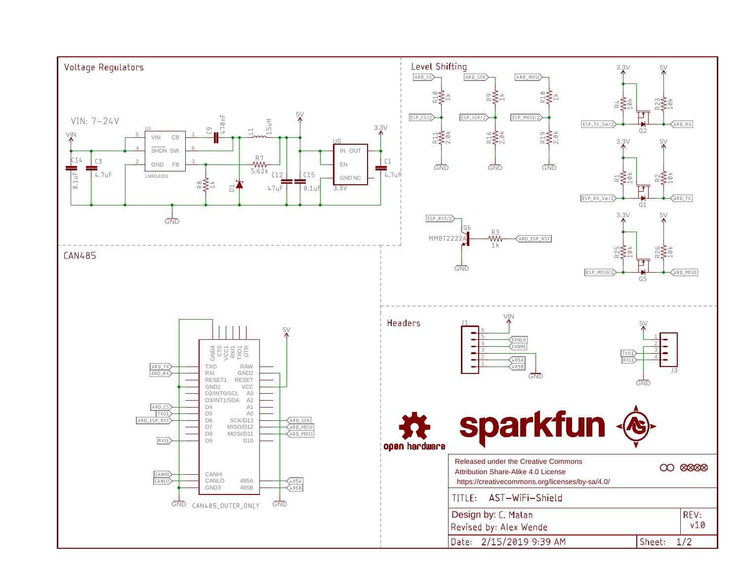